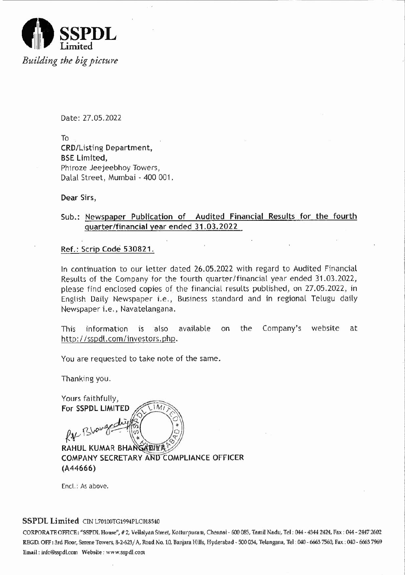

Date: 27.05.2022

To CRD/Listing Department, **BSE Limited,** Phiroze Jeejeebhoy Towers, Dalal Street, Mumbai - 400 001.

-----------------------*zyxwvutsrqponmlkjihgfedcbaZYXWVUTSRQPONMLKJIHGFEDCBA*

Dear Sirs,

## Sub.: Newspaper Publication of Audited Financial Results for the fourth quarter/financial year ended 31.03.2022

Ref.: Scrip Code 530821.

In continuation to our letter dated 26.05.2022 with regard to Audited Financial Results of the Company for the fourth quarter/financial year ended 31.03.2022, please find enclosed copies of the financial results published, on 27.05.2022, in English Daily Newspaper i.e., Business standard and in regional Telugu daily Newspaper i.e., Navatelangana.

This information is also available on the Company's website at http://sspdl.com/investors.php.

You are requested to take note of the same.

Thanking you.

Yours faithfully, For SSPDL LIMITED  $|M|$ RAHUL KUMAR BHANGADIYA COMPANY SECRETARY AND COMPLIANCE OFFICER (A44666)

Encl.: As above.

### SSPDL Limited CIN L70100TG1994PLC018540

CORPORATE OFFICE: "SSPDL House", # 2, Vellaiyan Street, Kotturpuram, Chennai - 600 085, Tamil Nadu, Tel: 044 - 4344 2424, Fax: 044 - 2447 2602 REGD. OFF: 3rd Floor, Serene Towers, 8-2-623/ A, Road No. 10, Baniara Hills, Hyderabad - SOO034, Telangana, Tel: 040 - 6663 7560, Fax: 040 - 6663 7%9 Email: info@sspdLcom Website: www.sspdl.com